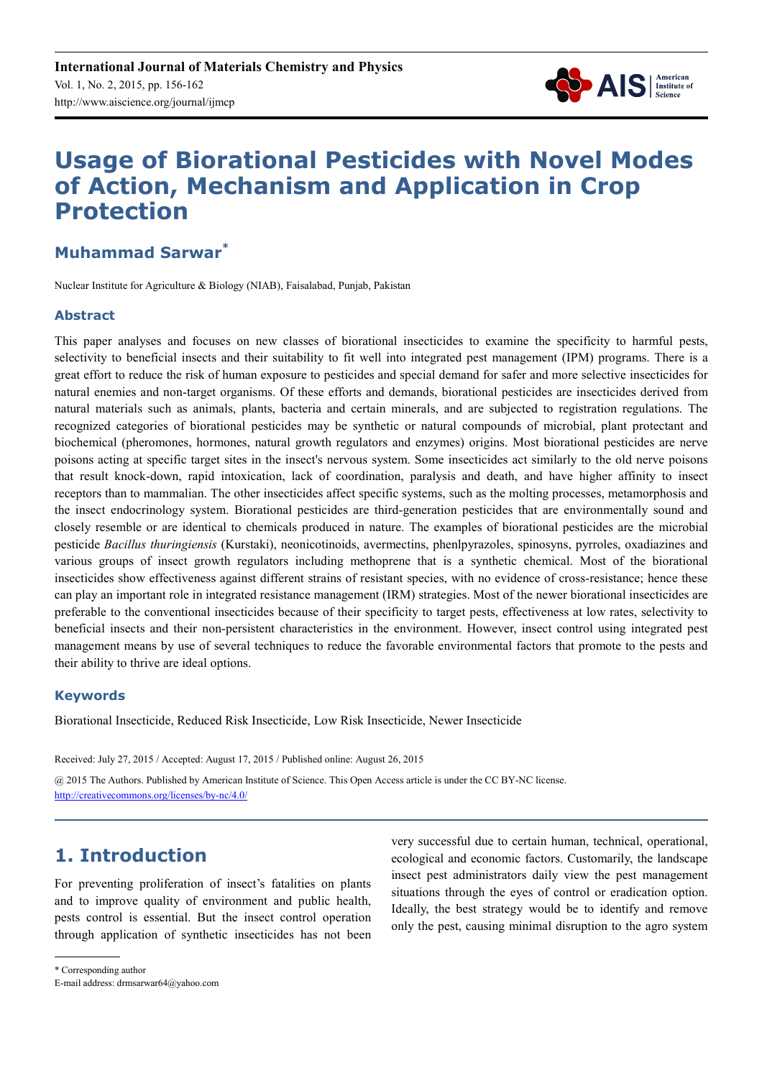

# **Usage of Biorational Pesticides with Novel Modes of Action, Mechanism and Application in Crop Protection**

### **Muhammad Sarwar\***

Nuclear Institute for Agriculture & Biology (NIAB), Faisalabad, Punjab, Pakistan

### **Abstract**

This paper analyses and focuses on new classes of biorational insecticides to examine the specificity to harmful pests, selectivity to beneficial insects and their suitability to fit well into integrated pest management (IPM) programs. There is a great effort to reduce the risk of human exposure to pesticides and special demand for safer and more selective insecticides for natural enemies and non-target organisms. Of these efforts and demands, biorational pesticides are insecticides derived from natural materials such as animals, plants, bacteria and certain minerals, and are subjected to registration regulations. The recognized categories of biorational pesticides may be synthetic or natural compounds of microbial, plant protectant and biochemical (pheromones, hormones, natural growth regulators and enzymes) origins. Most biorational pesticides are nerve poisons acting at specific target sites in the insect's nervous system. Some insecticides act similarly to the old nerve poisons that result knock-down, rapid intoxication, lack of coordination, paralysis and death, and have higher affinity to insect receptors than to mammalian. The other insecticides affect specific systems, such as the molting processes, metamorphosis and the insect endocrinology system. Biorational pesticides are third-generation pesticides that are environmentally sound and closely resemble or are identical to chemicals produced in nature. The examples of biorational pesticides are the microbial pesticide *Bacillus thuringiensis* (Kurstaki), neonicotinoids, avermectins, phenlpyrazoles, spinosyns, pyrroles, oxadiazines and various groups of insect growth regulators including methoprene that is a synthetic chemical. Most of the biorational insecticides show effectiveness against different strains of resistant species, with no evidence of cross-resistance; hence these can play an important role in integrated resistance management (IRM) strategies. Most of the newer biorational insecticides are preferable to the conventional insecticides because of their specificity to target pests, effectiveness at low rates, selectivity to beneficial insects and their non-persistent characteristics in the environment. However, insect control using integrated pest management means by use of several techniques to reduce the favorable environmental factors that promote to the pests and their ability to thrive are ideal options.

### **Keywords**

Biorational Insecticide, Reduced Risk Insecticide, Low Risk Insecticide, Newer Insecticide

Received: July 27, 2015 / Accepted: August 17, 2015 / Published online: August 26, 2015

@ 2015 The Authors. Published by American Institute of Science. This Open Access article is under the CC BY-NC license. http://creativecommons.org/licenses/by-nc/4.0/

# **1. Introduction**

For preventing proliferation of insect's fatalities on plants and to improve quality of environment and public health, pests control is essential. But the insect control operation through application of synthetic insecticides has not been very successful due to certain human, technical, operational, ecological and economic factors. Customarily, the landscape insect pest administrators daily view the pest management situations through the eyes of control or eradication option. Ideally, the best strategy would be to identify and remove only the pest, causing minimal disruption to the agro system

\* Corresponding author

E-mail address: drmsarwar64@yahoo.com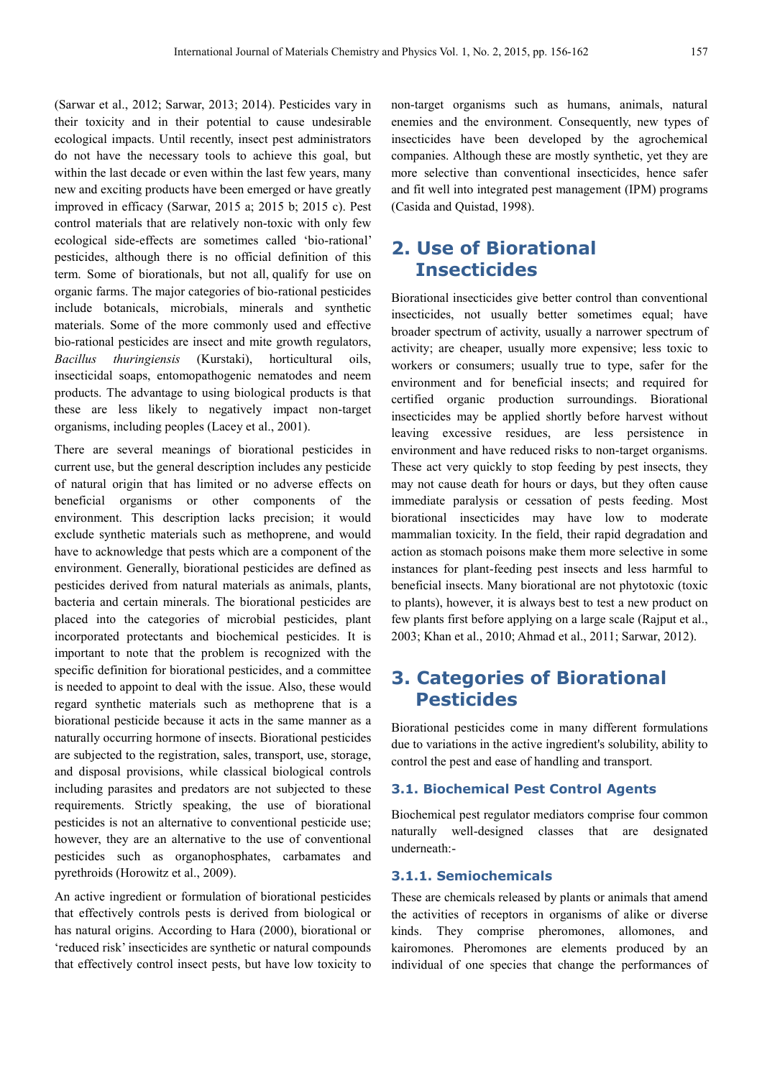(Sarwar et al., 2012; Sarwar, 2013; 2014). Pesticides vary in their toxicity and in their potential to cause undesirable ecological impacts. Until recently, insect pest administrators do not have the necessary tools to achieve this goal, but within the last decade or even within the last few years, many new and exciting products have been emerged or have greatly improved in efficacy (Sarwar, 2015 a; 2015 b; 2015 c). Pest control materials that are relatively non-toxic with only few ecological side-effects are sometimes called 'bio-rational' pesticides, although there is no official definition of this term. Some of biorationals, but not all, qualify for use on organic farms. The major categories of bio-rational pesticides include botanicals, microbials, minerals and synthetic materials. Some of the more commonly used and effective bio-rational pesticides are insect and mite growth regulators, *Bacillus thuringiensis* (Kurstaki), horticultural oils, insecticidal soaps, entomopathogenic nematodes and neem products. The advantage to using biological products is that these are less likely to negatively impact non-target organisms, including peoples (Lacey et al., 2001).

There are several meanings of biorational pesticides in current use, but the general description includes any pesticide of natural origin that has limited or no adverse effects on beneficial organisms or other components of the environment. This description lacks precision; it would exclude synthetic materials such as methoprene, and would have to acknowledge that pests which are a component of the environment. Generally, biorational pesticides are defined as pesticides derived from natural materials as animals, plants, bacteria and certain minerals. The biorational pesticides are placed into the categories of microbial pesticides, plant incorporated protectants and biochemical pesticides. It is important to note that the problem is recognized with the specific definition for biorational pesticides, and a committee is needed to appoint to deal with the issue. Also, these would regard synthetic materials such as methoprene that is a biorational pesticide because it acts in the same manner as a naturally occurring hormone of insects. Biorational pesticides are subjected to the registration, sales, transport, use, storage, and disposal provisions, while classical biological controls including parasites and predators are not subjected to these requirements. Strictly speaking, the use of biorational pesticides is not an alternative to conventional pesticide use; however, they are an alternative to the use of conventional pesticides such as organophosphates, carbamates and pyrethroids (Horowitz et al., 2009).

An active ingredient or formulation of biorational pesticides that effectively controls pests is derived from biological or has natural origins. According to Hara (2000), biorational or 'reduced risk' insecticides are synthetic or natural compounds that effectively control insect pests, but have low toxicity to non-target organisms such as humans, animals, natural enemies and the environment. Consequently, new types of insecticides have been developed by the agrochemical companies. Although these are mostly synthetic, yet they are more selective than conventional insecticides, hence safer and fit well into integrated pest management (IPM) programs (Casida and Quistad, 1998).

# **2. Use of Biorational Insecticides**

Biorational insecticides give better control than conventional insecticides, not usually better sometimes equal; have broader spectrum of activity, usually a narrower spectrum of activity; are cheaper, usually more expensive; less toxic to workers or consumers; usually true to type, safer for the environment and for beneficial insects; and required for certified organic production surroundings. Biorational insecticides may be applied shortly before harvest without leaving excessive residues, are less persistence in environment and have reduced risks to non-target organisms. These act very quickly to stop feeding by pest insects, they may not cause death for hours or days, but they often cause immediate paralysis or cessation of pests feeding. Most biorational insecticides may have low to moderate mammalian toxicity. In the field, their rapid degradation and action as stomach poisons make them more selective in some instances for plant-feeding pest insects and less harmful to beneficial insects. Many biorational are not phytotoxic (toxic to plants), however, it is always best to test a new product on few plants first before applying on a large scale (Rajput et al., 2003; Khan et al., 2010; Ahmad et al., 2011; Sarwar, 2012).

# **3. Categories of Biorational Pesticides**

Biorational pesticides come in many different formulations due to variations in the active ingredient's solubility, ability to control the pest and ease of handling and transport.

### **3.1. Biochemical Pest Control Agents**

Biochemical pest regulator mediators comprise four common naturally well-designed classes that are designated underneath:-

### **3.1.1. Semiochemicals**

These are chemicals released by plants or animals that amend the activities of receptors in organisms of alike or diverse kinds. They comprise pheromones, allomones, and kairomones. Pheromones are elements produced by an individual of one species that change the performances of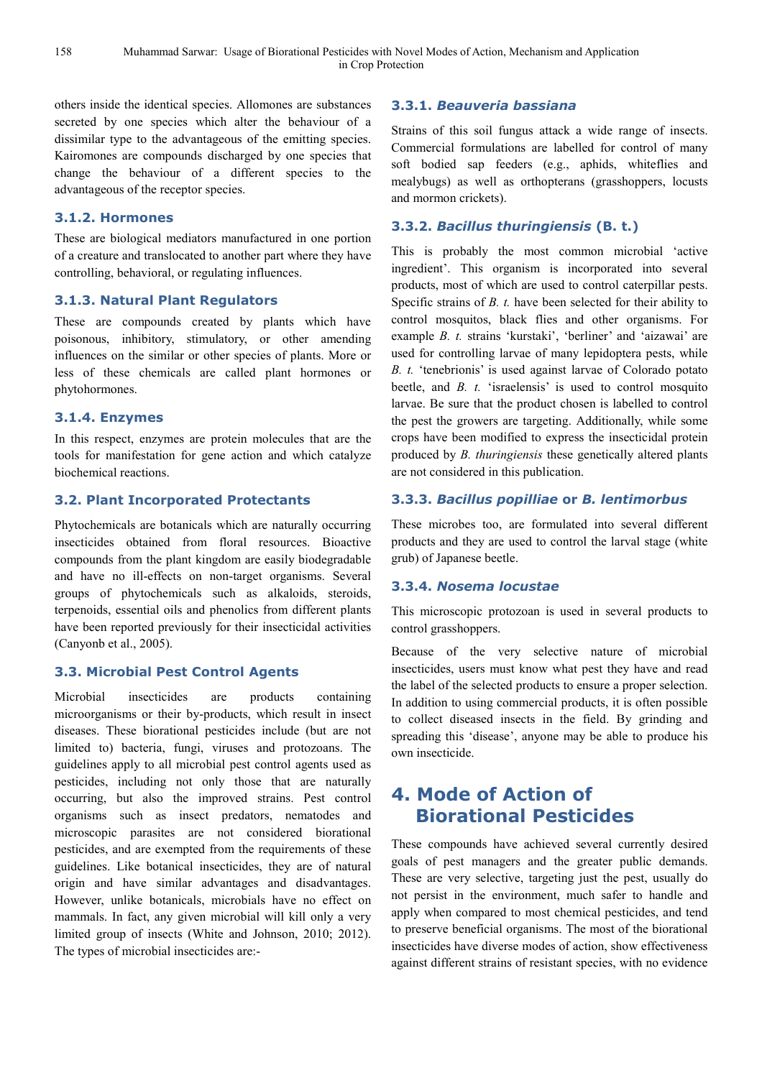others inside the identical species. Allomones are substances secreted by one species which alter the behaviour of a dissimilar type to the advantageous of the emitting species. Kairomones are compounds discharged by one species that change the behaviour of a different species to the advantageous of the receptor species.

### **3.1.2. Hormones**

These are biological mediators manufactured in one portion of a creature and translocated to another part where they have controlling, behavioral, or regulating influences.

### **3.1.3. Natural Plant Regulators**

These are compounds created by plants which have poisonous, inhibitory, stimulatory, or other amending influences on the similar or other species of plants. More or less of these chemicals are called plant hormones or phytohormones.

### **3.1.4. Enzymes**

In this respect, enzymes are protein molecules that are the tools for manifestation for gene action and which catalyze biochemical reactions.

### **3.2. Plant Incorporated Protectants**

Phytochemicals are botanicals which are naturally occurring insecticides obtained from floral resources. Bioactive compounds from the plant kingdom are easily biodegradable and have no ill-effects on non-target organisms. Several groups of phytochemicals such as alkaloids, steroids, terpenoids, essential oils and phenolics from different plants have been reported previously for their insecticidal activities (Canyonb et al., 2005).

### **3.3. Microbial Pest Control Agents**

Microbial insecticides are products containing microorganisms or their by-products, which result in insect diseases. These biorational pesticides include (but are not limited to) bacteria, fungi, viruses and protozoans. The guidelines apply to all microbial pest control agents used as pesticides, including not only those that are naturally occurring, but also the improved strains. Pest control organisms such as insect predators, nematodes and microscopic parasites are not considered biorational pesticides, and are exempted from the requirements of these guidelines. Like botanical insecticides, they are of natural origin and have similar advantages and disadvantages. However, unlike botanicals, microbials have no effect on mammals. In fact, any given microbial will kill only a very limited group of insects (White and Johnson, 2010; 2012). The types of microbial insecticides are:-

### **3.3.1.** *Beauveria bassiana*

Strains of this soil fungus attack a wide range of insects. Commercial formulations are labelled for control of many soft bodied sap feeders (e.g., aphids, whiteflies and mealybugs) as well as orthopterans (grasshoppers, locusts and mormon crickets).

### **3.3.2.** *Bacillus thuringiensis* **(B. t.)**

This is probably the most common microbial 'active ingredient'. This organism is incorporated into several products, most of which are used to control caterpillar pests. Specific strains of *B. t.* have been selected for their ability to control mosquitos, black flies and other organisms. For example *B. t.* strains 'kurstaki', 'berliner' and 'aizawai' are used for controlling larvae of many lepidoptera pests, while *B. t.* 'tenebrionis' is used against larvae of Colorado potato beetle, and *B. t.* 'israelensis' is used to control mosquito larvae. Be sure that the product chosen is labelled to control the pest the growers are targeting. Additionally, while some crops have been modified to express the insecticidal protein produced by *B. thuringiensis* these genetically altered plants are not considered in this publication.

### **3.3.3.** *Bacillus popilliae* **or** *B. lentimorbus*

These microbes too, are formulated into several different products and they are used to control the larval stage (white grub) of Japanese beetle.

### **3.3.4.** *Nosema locustae*

This microscopic protozoan is used in several products to control grasshoppers.

Because of the very selective nature of microbial insecticides, users must know what pest they have and read the label of the selected products to ensure a proper selection. In addition to using commercial products, it is often possible to collect diseased insects in the field. By grinding and spreading this 'disease', anyone may be able to produce his own insecticide.

# **4. Mode of Action of Biorational Pesticides**

These compounds have achieved several currently desired goals of pest managers and the greater public demands. These are very selective, targeting just the pest, usually do not persist in the environment, much safer to handle and apply when compared to most chemical pesticides, and tend to preserve beneficial organisms. The most of the biorational insecticides have diverse modes of action, show effectiveness against different strains of resistant species, with no evidence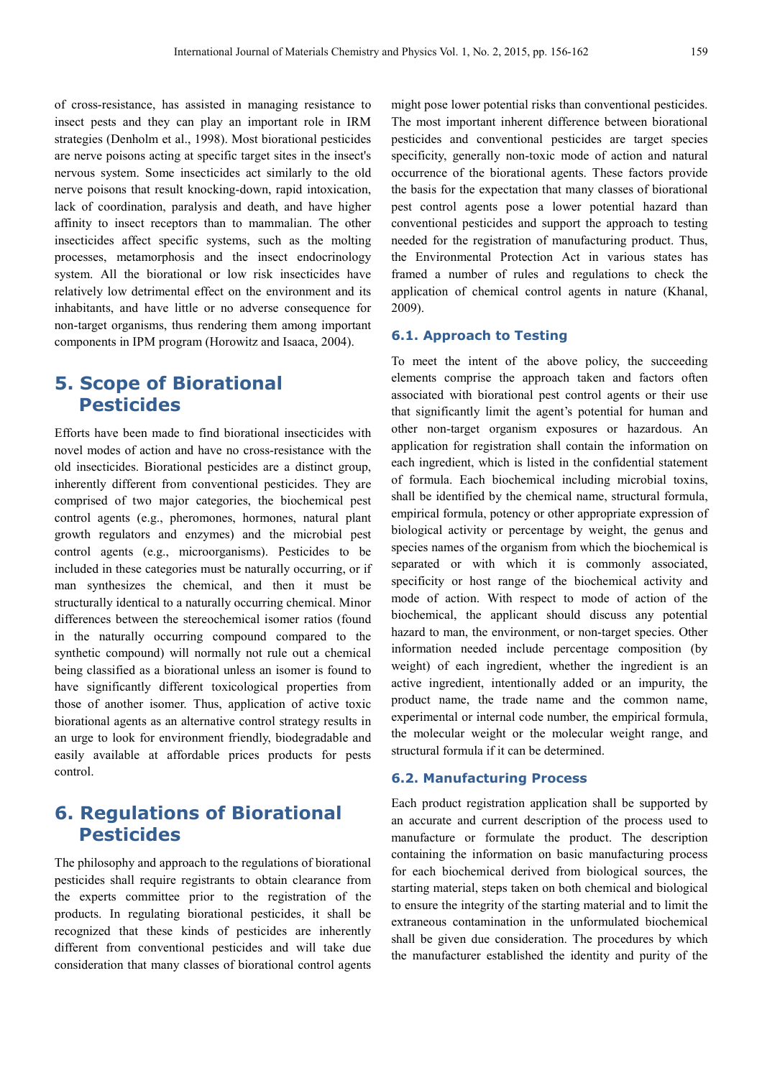of cross-resistance, has assisted in managing resistance to insect pests and they can play an important role in IRM strategies (Denholm et al., 1998). Most biorational pesticides are nerve poisons acting at specific target sites in the insect's nervous system. Some insecticides act similarly to the old nerve poisons that result knocking-down, rapid intoxication, lack of coordination, paralysis and death, and have higher affinity to insect receptors than to mammalian. The other insecticides affect specific systems, such as the molting processes, metamorphosis and the insect endocrinology system. All the biorational or low risk insecticides have relatively low detrimental effect on the environment and its inhabitants, and have little or no adverse consequence for non-target organisms, thus rendering them among important components in IPM program (Horowitz and Isaaca, 2004).

## **5. Scope of Biorational Pesticides**

Efforts have been made to find biorational insecticides with novel modes of action and have no cross-resistance with the old insecticides. Biorational pesticides are a distinct group, inherently different from conventional pesticides. They are comprised of two major categories, the biochemical pest control agents (e.g., pheromones, hormones, natural plant growth regulators and enzymes) and the microbial pest control agents (e.g., microorganisms). Pesticides to be included in these categories must be naturally occurring, or if man synthesizes the chemical, and then it must be structurally identical to a naturally occurring chemical. Minor differences between the stereochemical isomer ratios (found in the naturally occurring compound compared to the synthetic compound) will normally not rule out a chemical being classified as a biorational unless an isomer is found to have significantly different toxicological properties from those of another isomer. Thus, application of active toxic biorational agents as an alternative control strategy results in an urge to look for environment friendly, biodegradable and easily available at affordable prices products for pests control.

# **6. Regulations of Biorational Pesticides**

The philosophy and approach to the regulations of biorational pesticides shall require registrants to obtain clearance from the experts committee prior to the registration of the products. In regulating biorational pesticides, it shall be recognized that these kinds of pesticides are inherently different from conventional pesticides and will take due consideration that many classes of biorational control agents might pose lower potential risks than conventional pesticides. The most important inherent difference between biorational pesticides and conventional pesticides are target species specificity, generally non-toxic mode of action and natural occurrence of the biorational agents. These factors provide the basis for the expectation that many classes of biorational pest control agents pose a lower potential hazard than conventional pesticides and support the approach to testing needed for the registration of manufacturing product. Thus, the Environmental Protection Act in various states has framed a number of rules and regulations to check the application of chemical control agents in nature (Khanal, 2009).

### **6.1. Approach to Testing**

To meet the intent of the above policy, the succeeding elements comprise the approach taken and factors often associated with biorational pest control agents or their use that significantly limit the agent's potential for human and other non-target organism exposures or hazardous. An application for registration shall contain the information on each ingredient, which is listed in the confidential statement of formula. Each biochemical including microbial toxins, shall be identified by the chemical name, structural formula, empirical formula, potency or other appropriate expression of biological activity or percentage by weight, the genus and species names of the organism from which the biochemical is separated or with which it is commonly associated, specificity or host range of the biochemical activity and mode of action. With respect to mode of action of the biochemical, the applicant should discuss any potential hazard to man, the environment, or non-target species. Other information needed include percentage composition (by weight) of each ingredient, whether the ingredient is an active ingredient, intentionally added or an impurity, the product name, the trade name and the common name, experimental or internal code number, the empirical formula, the molecular weight or the molecular weight range, and structural formula if it can be determined.

### **6.2. Manufacturing Process**

Each product registration application shall be supported by an accurate and current description of the process used to manufacture or formulate the product. The description containing the information on basic manufacturing process for each biochemical derived from biological sources, the starting material, steps taken on both chemical and biological to ensure the integrity of the starting material and to limit the extraneous contamination in the unformulated biochemical shall be given due consideration. The procedures by which the manufacturer established the identity and purity of the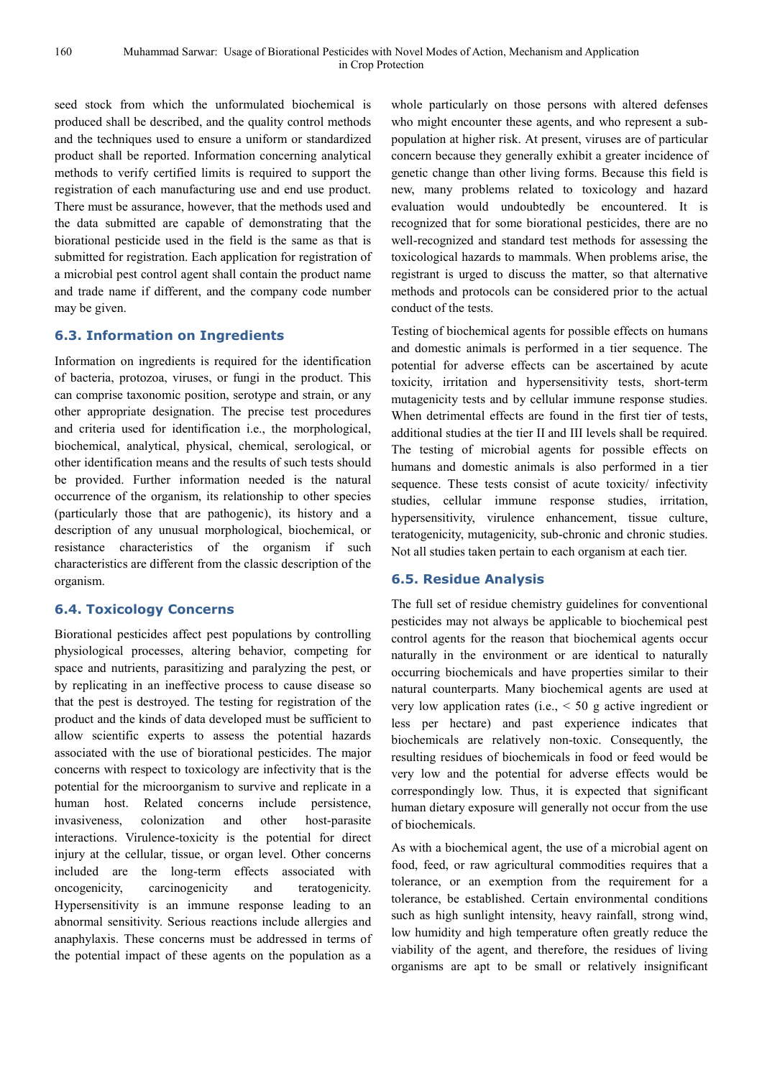seed stock from which the unformulated biochemical is produced shall be described, and the quality control methods and the techniques used to ensure a uniform or standardized product shall be reported. Information concerning analytical methods to verify certified limits is required to support the registration of each manufacturing use and end use product. There must be assurance, however, that the methods used and the data submitted are capable of demonstrating that the biorational pesticide used in the field is the same as that is submitted for registration. Each application for registration of a microbial pest control agent shall contain the product name and trade name if different, and the company code number may be given.

### **6.3. Information on Ingredients**

Information on ingredients is required for the identification of bacteria, protozoa, viruses, or fungi in the product. This can comprise taxonomic position, serotype and strain, or any other appropriate designation. The precise test procedures and criteria used for identification i.e., the morphological, biochemical, analytical, physical, chemical, serological, or other identification means and the results of such tests should be provided. Further information needed is the natural occurrence of the organism, its relationship to other species (particularly those that are pathogenic), its history and a description of any unusual morphological, biochemical, or resistance characteristics of the organism if such characteristics are different from the classic description of the organism.

### **6.4. Toxicology Concerns**

Biorational pesticides affect pest populations by controlling physiological processes, altering behavior, competing for space and nutrients, parasitizing and paralyzing the pest, or by replicating in an ineffective process to cause disease so that the pest is destroyed. The testing for registration of the product and the kinds of data developed must be sufficient to allow scientific experts to assess the potential hazards associated with the use of biorational pesticides. The major concerns with respect to toxicology are infectivity that is the potential for the microorganism to survive and replicate in a human host. Related concerns include persistence, invasiveness, colonization and other host-parasite interactions. Virulence-toxicity is the potential for direct injury at the cellular, tissue, or organ level. Other concerns included are the long-term effects associated with oncogenicity, carcinogenicity and teratogenicity. Hypersensitivity is an immune response leading to an abnormal sensitivity. Serious reactions include allergies and anaphylaxis. These concerns must be addressed in terms of the potential impact of these agents on the population as a

whole particularly on those persons with altered defenses who might encounter these agents, and who represent a subpopulation at higher risk. At present, viruses are of particular concern because they generally exhibit a greater incidence of genetic change than other living forms. Because this field is new, many problems related to toxicology and hazard evaluation would undoubtedly be encountered. It is recognized that for some biorational pesticides, there are no well-recognized and standard test methods for assessing the toxicological hazards to mammals. When problems arise, the registrant is urged to discuss the matter, so that alternative methods and protocols can be considered prior to the actual conduct of the tests.

Testing of biochemical agents for possible effects on humans and domestic animals is performed in a tier sequence. The potential for adverse effects can be ascertained by acute toxicity, irritation and hypersensitivity tests, short-term mutagenicity tests and by cellular immune response studies. When detrimental effects are found in the first tier of tests, additional studies at the tier II and III levels shall be required. The testing of microbial agents for possible effects on humans and domestic animals is also performed in a tier sequence. These tests consist of acute toxicity/ infectivity studies, cellular immune response studies, irritation, hypersensitivity, virulence enhancement, tissue culture, teratogenicity, mutagenicity, sub-chronic and chronic studies. Not all studies taken pertain to each organism at each tier.

### **6.5. Residue Analysis**

The full set of residue chemistry guidelines for conventional pesticides may not always be applicable to biochemical pest control agents for the reason that biochemical agents occur naturally in the environment or are identical to naturally occurring biochemicals and have properties similar to their natural counterparts. Many biochemical agents are used at very low application rates (i.e., < 50 g active ingredient or less per hectare) and past experience indicates that biochemicals are relatively non-toxic. Consequently, the resulting residues of biochemicals in food or feed would be very low and the potential for adverse effects would be correspondingly low. Thus, it is expected that significant human dietary exposure will generally not occur from the use of biochemicals.

As with a biochemical agent, the use of a microbial agent on food, feed, or raw agricultural commodities requires that a tolerance, or an exemption from the requirement for a tolerance, be established. Certain environmental conditions such as high sunlight intensity, heavy rainfall, strong wind, low humidity and high temperature often greatly reduce the viability of the agent, and therefore, the residues of living organisms are apt to be small or relatively insignificant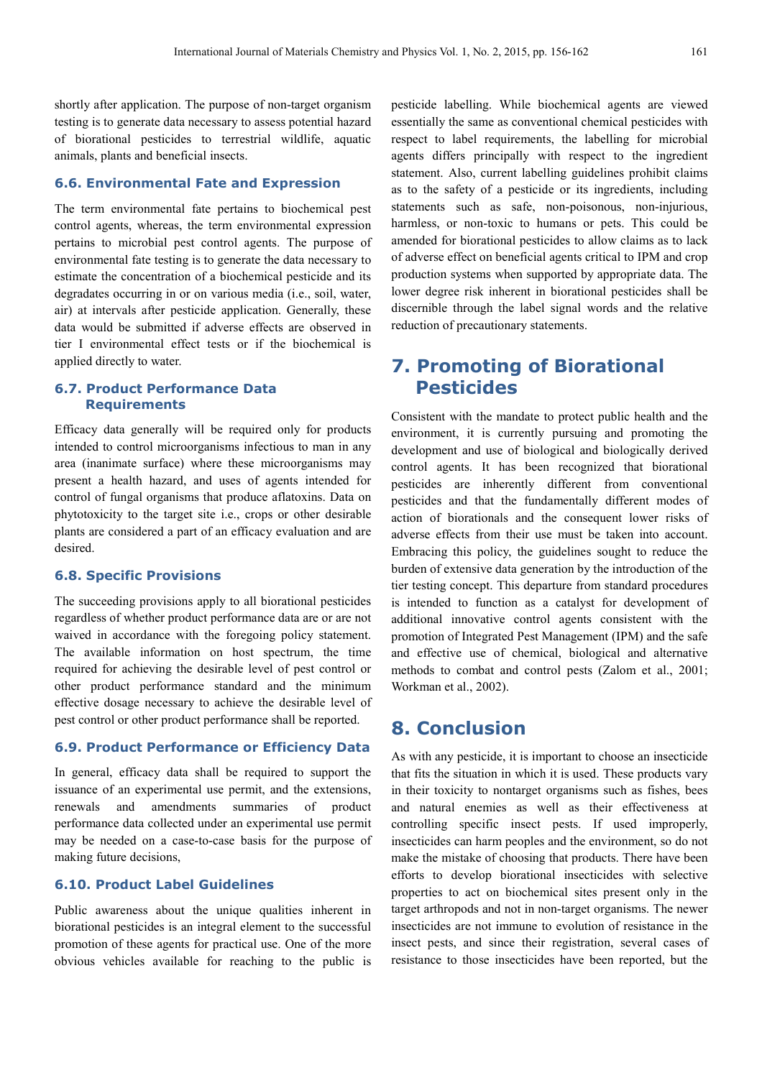shortly after application. The purpose of non-target organism testing is to generate data necessary to assess potential hazard of biorational pesticides to terrestrial wildlife, aquatic animals, plants and beneficial insects.

### **6.6. Environmental Fate and Expression**

The term environmental fate pertains to biochemical pest control agents, whereas, the term environmental expression pertains to microbial pest control agents. The purpose of environmental fate testing is to generate the data necessary to estimate the concentration of a biochemical pesticide and its degradates occurring in or on various media (i.e., soil, water, air) at intervals after pesticide application. Generally, these data would be submitted if adverse effects are observed in tier I environmental effect tests or if the biochemical is applied directly to water.

### **6.7. Product Performance Data Requirements**

Efficacy data generally will be required only for products intended to control microorganisms infectious to man in any area (inanimate surface) where these microorganisms may present a health hazard, and uses of agents intended for control of fungal organisms that produce aflatoxins. Data on phytotoxicity to the target site i.e., crops or other desirable plants are considered a part of an efficacy evaluation and are desired.

### **6.8. Specific Provisions**

The succeeding provisions apply to all biorational pesticides regardless of whether product performance data are or are not waived in accordance with the foregoing policy statement. The available information on host spectrum, the time required for achieving the desirable level of pest control or other product performance standard and the minimum effective dosage necessary to achieve the desirable level of pest control or other product performance shall be reported.

#### **6.9. Product Performance or Efficiency Data**

In general, efficacy data shall be required to support the issuance of an experimental use permit, and the extensions, renewals and amendments summaries of product performance data collected under an experimental use permit may be needed on a case-to-case basis for the purpose of making future decisions,

### **6.10. Product Label Guidelines**

Public awareness about the unique qualities inherent in biorational pesticides is an integral element to the successful promotion of these agents for practical use. One of the more obvious vehicles available for reaching to the public is pesticide labelling. While biochemical agents are viewed essentially the same as conventional chemical pesticides with respect to label requirements, the labelling for microbial agents differs principally with respect to the ingredient statement. Also, current labelling guidelines prohibit claims as to the safety of a pesticide or its ingredients, including statements such as safe, non-poisonous, non-injurious, harmless, or non-toxic to humans or pets. This could be amended for biorational pesticides to allow claims as to lack of adverse effect on beneficial agents critical to IPM and crop production systems when supported by appropriate data. The lower degree risk inherent in biorational pesticides shall be discernible through the label signal words and the relative reduction of precautionary statements.

### **7. Promoting of Biorational Pesticides**

Consistent with the mandate to protect public health and the environment, it is currently pursuing and promoting the development and use of biological and biologically derived control agents. It has been recognized that biorational pesticides are inherently different from conventional pesticides and that the fundamentally different modes of action of biorationals and the consequent lower risks of adverse effects from their use must be taken into account. Embracing this policy, the guidelines sought to reduce the burden of extensive data generation by the introduction of the tier testing concept. This departure from standard procedures is intended to function as a catalyst for development of additional innovative control agents consistent with the promotion of Integrated Pest Management (IPM) and the safe and effective use of chemical, biological and alternative methods to combat and control pests (Zalom et al., 2001; Workman et al., 2002).

### **8. Conclusion**

As with any pesticide, it is important to choose an insecticide that fits the situation in which it is used. These products vary in their toxicity to nontarget organisms such as fishes, bees and natural enemies as well as their effectiveness at controlling specific insect pests. If used improperly, insecticides can harm peoples and the environment, so do not make the mistake of choosing that products. There have been efforts to develop biorational insecticides with selective properties to act on biochemical sites present only in the target arthropods and not in non-target organisms. The newer insecticides are not immune to evolution of resistance in the insect pests, and since their registration, several cases of resistance to those insecticides have been reported, but the